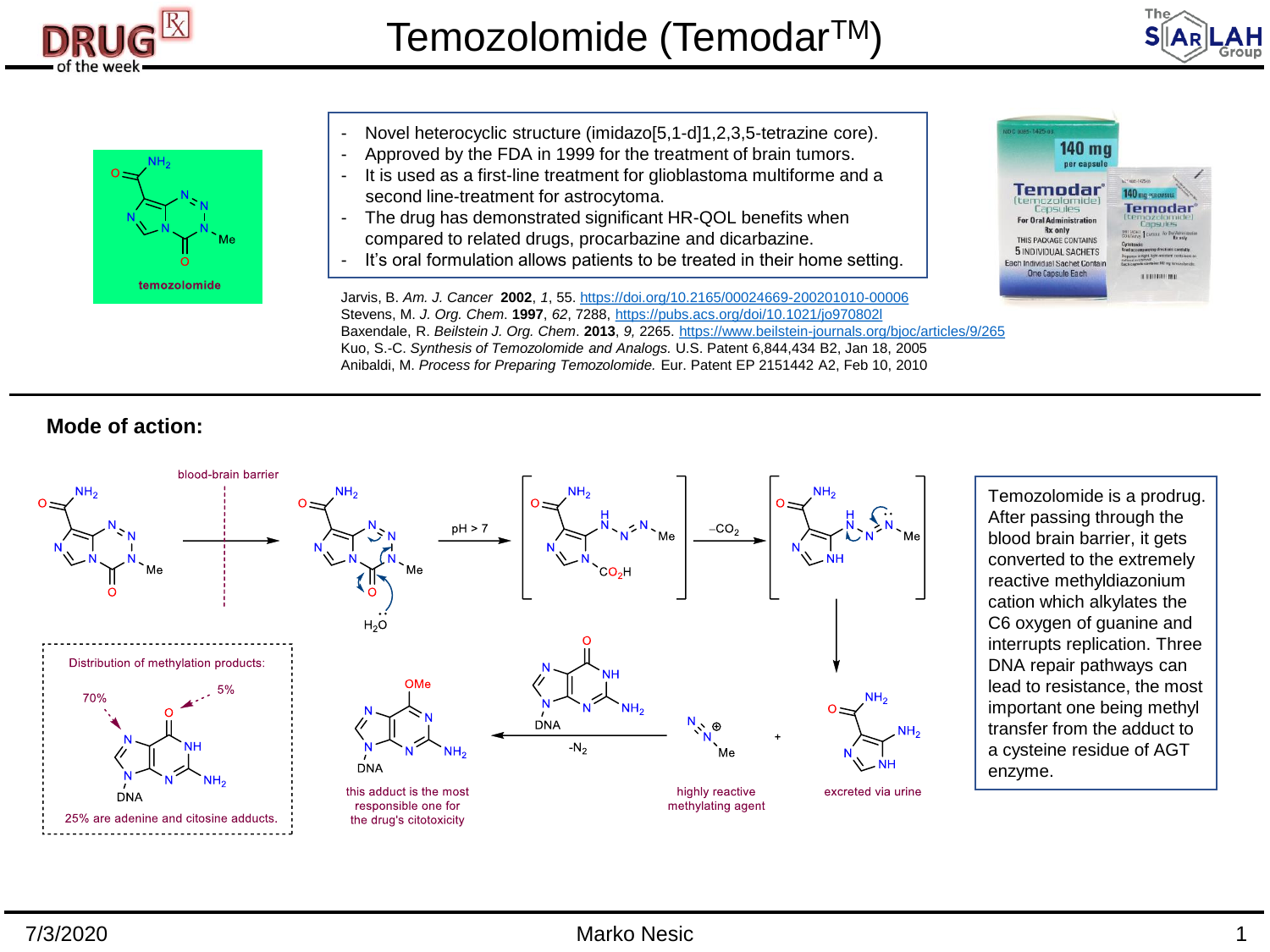





- Novel heterocyclic structure (imidazo[5,1-d]1,2,3,5-tetrazine core).
- Approved by the FDA in 1999 for the treatment of brain tumors.
- It is used as a first-line treatment for glioblastoma multiforme and a second line-treatment for astrocytoma.
- The drug has demonstrated significant HR-QOL benefits when compared to related drugs, procarbazine and dicarbazine.
- It's oral formulation allows patients to be treated in their home setting.



Jarvis, B. *Am. J. Cancer* **2002**, *1*, 55. <https://doi.org/10.2165/00024669-200201010-00006> Stevens, M. *J. Org. Chem*. **1997**, *62*, 7288, <https://pubs.acs.org/doi/10.1021/jo970802l> Baxendale, R. *Beilstein J. Org. Chem*. **2013**, *9,* 2265. <https://www.beilstein-journals.org/bjoc/articles/9/265> Kuo, S.-C. *Synthesis of Temozolomide and Analogs.* U.S. Patent 6,844,434 B2, Jan 18, 2005 Anibaldi, M. *Process for Preparing Temozolomide.* Eur. Patent EP 2151442 A2, Feb 10, 2010

## **Mode of action:**



Temozolomide is a prodrug. After passing through the blood brain barrier, it gets converted to the extremely reactive methyldiazonium cation which alkylates the C6 oxygen of guanine and interrupts replication. Three DNA repair pathways can lead to resistance, the most important one being methyl transfer from the adduct to a cysteine residue of AGT enzyme.